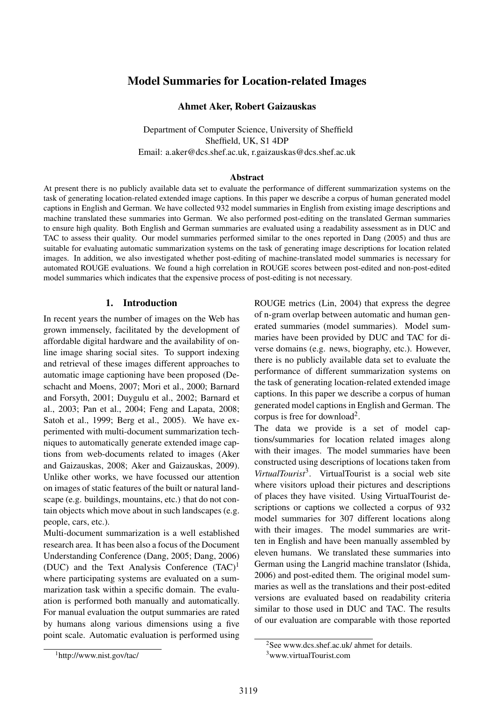# Model Summaries for Location-related Images

### Ahmet Aker, Robert Gaizauskas

Department of Computer Science, University of Sheffield Sheffield, UK, S1 4DP Email: a.aker@dcs.shef.ac.uk, r.gaizauskas@dcs.shef.ac.uk

### Abstract

At present there is no publicly available data set to evaluate the performance of different summarization systems on the task of generating location-related extended image captions. In this paper we describe a corpus of human generated model captions in English and German. We have collected 932 model summaries in English from existing image descriptions and machine translated these summaries into German. We also performed post-editing on the translated German summaries to ensure high quality. Both English and German summaries are evaluated using a readability assessment as in DUC and TAC to assess their quality. Our model summaries performed similar to the ones reported in Dang (2005) and thus are suitable for evaluating automatic summarization systems on the task of generating image descriptions for location related images. In addition, we also investigated whether post-editing of machine-translated model summaries is necessary for automated ROUGE evaluations. We found a high correlation in ROUGE scores between post-edited and non-post-edited model summaries which indicates that the expensive process of post-editing is not necessary.

### 1. Introduction

In recent years the number of images on the Web has grown immensely, facilitated by the development of affordable digital hardware and the availability of online image sharing social sites. To support indexing and retrieval of these images different approaches to automatic image captioning have been proposed (Deschacht and Moens, 2007; Mori et al., 2000; Barnard and Forsyth, 2001; Duygulu et al., 2002; Barnard et al., 2003; Pan et al., 2004; Feng and Lapata, 2008; Satoh et al., 1999; Berg et al., 2005). We have experimented with multi-document summarization techniques to automatically generate extended image captions from web-documents related to images (Aker and Gaizauskas, 2008; Aker and Gaizauskas, 2009). Unlike other works, we have focussed our attention on images of static features of the built or natural landscape (e.g. buildings, mountains, etc.) that do not contain objects which move about in such landscapes (e.g. people, cars, etc.).

Multi-document summarization is a well established research area. It has been also a focus of the Document Understanding Conference (Dang, 2005; Dang, 2006) (DUC) and the Text Analysis Conference (TAC)<sup>1</sup> where participating systems are evaluated on a summarization task within a specific domain. The evaluation is performed both manually and automatically. For manual evaluation the output summaries are rated by humans along various dimensions using a five point scale. Automatic evaluation is performed using ROUGE metrics (Lin, 2004) that express the degree of n-gram overlap between automatic and human generated summaries (model summaries). Model summaries have been provided by DUC and TAC for diverse domains (e.g. news, biography, etc.). However, there is no publicly available data set to evaluate the performance of different summarization systems on the task of generating location-related extended image captions. In this paper we describe a corpus of human generated model captions in English and German. The corpus is free for download<sup>2</sup>.

The data we provide is a set of model captions/summaries for location related images along with their images. The model summaries have been constructed using descriptions of locations taken from *VirtualTourist*<sup>3</sup> . VirtualTourist is a social web site where visitors upload their pictures and descriptions of places they have visited. Using VirtualTourist descriptions or captions we collected a corpus of 932 model summaries for 307 different locations along with their images. The model summaries are written in English and have been manually assembled by eleven humans. We translated these summaries into German using the Langrid machine translator (Ishida, 2006) and post-edited them. The original model summaries as well as the translations and their post-edited versions are evaluated based on readability criteria similar to those used in DUC and TAC. The results of our evaluation are comparable with those reported

<sup>1</sup>http://www.nist.gov/tac/

<sup>2</sup>See www.dcs.shef.ac.uk/ ahmet for details. <sup>3</sup>www.virtualTourist.com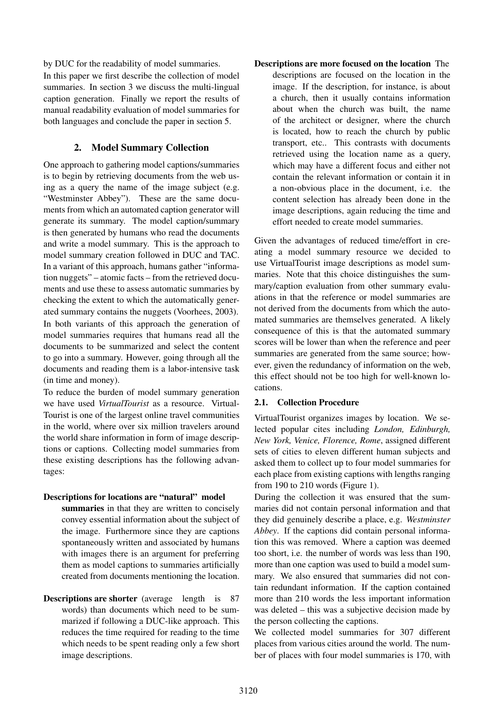by DUC for the readability of model summaries. In this paper we first describe the collection of model summaries. In section 3 we discuss the multi-lingual caption generation. Finally we report the results of manual readability evaluation of model summaries for both languages and conclude the paper in section 5.

## 2. Model Summary Collection

One approach to gathering model captions/summaries is to begin by retrieving documents from the web using as a query the name of the image subject (e.g. "Westminster Abbey"). These are the same documents from which an automated caption generator will generate its summary. The model caption/summary is then generated by humans who read the documents and write a model summary. This is the approach to model summary creation followed in DUC and TAC. In a variant of this approach, humans gather "information nuggets" – atomic facts – from the retrieved documents and use these to assess automatic summaries by checking the extent to which the automatically generated summary contains the nuggets (Voorhees, 2003).

In both variants of this approach the generation of model summaries requires that humans read all the documents to be summarized and select the content to go into a summary. However, going through all the documents and reading them is a labor-intensive task (in time and money).

To reduce the burden of model summary generation we have used *VirtualTourist* as a resource. Virtual-Tourist is one of the largest online travel communities in the world, where over six million travelers around the world share information in form of image descriptions or captions. Collecting model summaries from these existing descriptions has the following advantages:

### Descriptions for locations are "natural" model

summaries in that they are written to concisely convey essential information about the subject of the image. Furthermore since they are captions spontaneously written and associated by humans with images there is an argument for preferring them as model captions to summaries artificially created from documents mentioning the location.

Descriptions are shorter (average length is 87 words) than documents which need to be summarized if following a DUC-like approach. This reduces the time required for reading to the time which needs to be spent reading only a few short image descriptions.

Descriptions are more focused on the location The descriptions are focused on the location in the image. If the description, for instance, is about a church, then it usually contains information about when the church was built, the name of the architect or designer, where the church is located, how to reach the church by public transport, etc.. This contrasts with documents retrieved using the location name as a query, which may have a different focus and either not contain the relevant information or contain it in a non-obvious place in the document, i.e. the content selection has already been done in the image descriptions, again reducing the time and effort needed to create model summaries.

Given the advantages of reduced time/effort in creating a model summary resource we decided to use VirtualTourist image descriptions as model summaries. Note that this choice distinguishes the summary/caption evaluation from other summary evaluations in that the reference or model summaries are not derived from the documents from which the automated summaries are themselves generated. A likely consequence of this is that the automated summary scores will be lower than when the reference and peer summaries are generated from the same source; however, given the redundancy of information on the web, this effect should not be too high for well-known locations.

### 2.1. Collection Procedure

VirtualTourist organizes images by location. We selected popular cites including *London, Edinburgh, New York, Venice, Florence, Rome*, assigned different sets of cities to eleven different human subjects and asked them to collect up to four model summaries for each place from existing captions with lengths ranging from 190 to 210 words (Figure 1).

During the collection it was ensured that the summaries did not contain personal information and that they did genuinely describe a place, e.g. *Westminster Abbey*. If the captions did contain personal information this was removed. Where a caption was deemed too short, i.e. the number of words was less than 190, more than one caption was used to build a model summary. We also ensured that summaries did not contain redundant information. If the caption contained more than 210 words the less important information was deleted – this was a subjective decision made by the person collecting the captions.

We collected model summaries for 307 different places from various cities around the world. The number of places with four model summaries is 170, with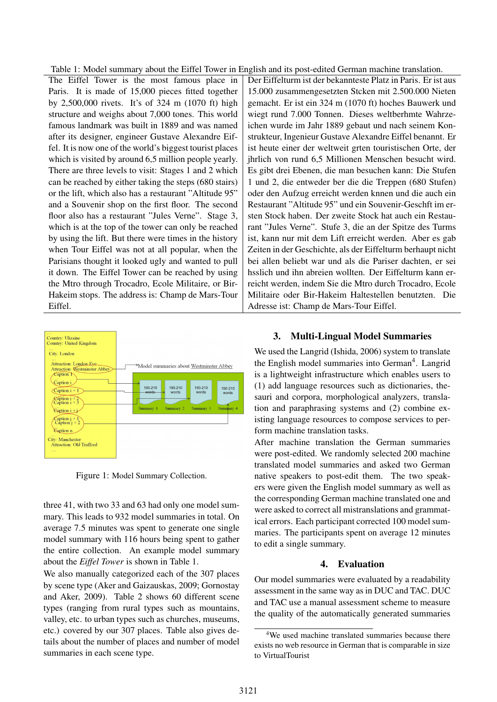Table 1: Model summary about the Eiffel Tower in English and its post-edited German machine translation.

The Eiffel Tower is the most famous place in Paris. It is made of 15,000 pieces fitted together by 2,500,000 rivets. It's of 324 m (1070 ft) high structure and weighs about 7,000 tones. This world famous landmark was built in 1889 and was named after its designer, engineer Gustave Alexandre Eiffel. It is now one of the world's biggest tourist places which is visited by around 6,5 million people yearly. There are three levels to visit: Stages 1 and 2 which can be reached by either taking the steps (680 stairs) or the lift, which also has a restaurant "Altitude 95" and a Souvenir shop on the first floor. The second floor also has a restaurant "Jules Verne". Stage 3, which is at the top of the tower can only be reached by using the lift. But there were times in the history when Tour Eiffel was not at all popular, when the Parisians thought it looked ugly and wanted to pull it down. The Eiffel Tower can be reached by using the Mtro through Trocadro, Ecole Militaire, or Bir-Hakeim stops. The address is: Champ de Mars-Tour Eiffel.



Figure 1: Model Summary Collection.

three 41, with two 33 and 63 had only one model summary. This leads to 932 model summaries in total. On average 7.5 minutes was spent to generate one single model summary with 116 hours being spent to gather the entire collection. An example model summary about the *Eiffel Tower* is shown in Table 1.

We also manually categorized each of the 307 places by scene type (Aker and Gaizauskas, 2009; Gornostay and Aker, 2009). Table 2 shows 60 different scene types (ranging from rural types such as mountains, valley, etc. to urban types such as churches, museums, etc.) covered by our 307 places. Table also gives details about the number of places and number of model summaries in each scene type.

Der Eiffelturm ist der bekannteste Platz in Paris. Er ist aus 15.000 zusammengesetzten Stcken mit 2.500.000 Nieten gemacht. Er ist ein 324 m (1070 ft) hoches Bauwerk und wiegt rund 7.000 Tonnen. Dieses weltberhmte Wahrzeichen wurde im Jahr 1889 gebaut und nach seinem Konstrukteur, Ingenieur Gustave Alexandre Eiffel benannt. Er ist heute einer der weltweit grten touristischen Orte, der jhrlich von rund 6,5 Millionen Menschen besucht wird. Es gibt drei Ebenen, die man besuchen kann: Die Stufen 1 und 2, die entweder ber die die Treppen (680 Stufen) oder den Aufzug erreicht werden knnen und die auch ein Restaurant "Altitude 95" und ein Souvenir-Geschft im ersten Stock haben. Der zweite Stock hat auch ein Restaurant "Jules Verne". Stufe 3, die an der Spitze des Turms ist, kann nur mit dem Lift erreicht werden. Aber es gab Zeiten in der Geschichte, als der Eiffelturm berhaupt nicht bei allen beliebt war und als die Pariser dachten, er sei hsslich und ihn abreien wollten. Der Eiffelturm kann erreicht werden, indem Sie die Mtro durch Trocadro, Ecole Militaire oder Bir-Hakeim Haltestellen benutzten. Die Adresse ist: Champ de Mars-Tour Eiffel.

### 3. Multi-Lingual Model Summaries

We used the Langrid (Ishida, 2006) system to translate the English model summaries into German<sup>4</sup>. Langrid is a lightweight infrastructure which enables users to (1) add language resources such as dictionaries, thesauri and corpora, morphological analyzers, translation and paraphrasing systems and (2) combine existing language resources to compose services to perform machine translation tasks.

After machine translation the German summaries were post-edited. We randomly selected 200 machine translated model summaries and asked two German native speakers to post-edit them. The two speakers were given the English model summary as well as the corresponding German machine translated one and were asked to correct all mistranslations and grammatical errors. Each participant corrected 100 model summaries. The participants spent on average 12 minutes to edit a single summary.

### 4. Evaluation

Our model summaries were evaluated by a readability assessment in the same way as in DUC and TAC. DUC and TAC use a manual assessment scheme to measure the quality of the automatically generated summaries

<sup>4</sup>We used machine translated summaries because there exists no web resource in German that is comparable in size to VirtualTourist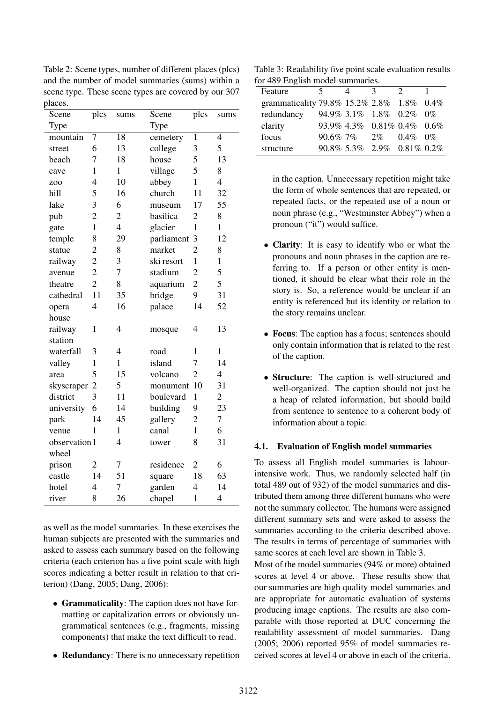Table 2: Scene types, number of different places (plcs) and the number of model summaries (sums) within a scene type. These scene types are covered by our 307 places.

| Scene           | plcs           | sums           | Scene      | plcs           | sums                     |
|-----------------|----------------|----------------|------------|----------------|--------------------------|
| Type            |                |                | Type       |                |                          |
| mountain        | $\overline{7}$ | 18             | cemetery   | $\mathbf{1}$   | $\overline{4}$           |
| street          | 6              | 13             | college    | 3              | 5                        |
| beach           | 7              | 18             | house      | 5              | 13                       |
| cave            | $\mathbf{1}$   | $\mathbf{1}$   | village    | 5              | 8                        |
| Z <sub>00</sub> | $\overline{4}$ | 10             | abbey      | $\mathbf{1}$   | $\overline{4}$           |
| hill            | 5              | 16             | church     | 11             | 32                       |
| lake            | 3              | 6              | museum     | 17             | 55                       |
| pub             | $\overline{c}$ | $\overline{2}$ | basilica   | $\overline{2}$ | 8                        |
| gate            | $\mathbf{1}$   | $\overline{4}$ | glacier    | $\mathbf{1}$   | $\mathbf{1}$             |
| temple          | 8              | 29             | parliament | 3              | 12                       |
| statue          | $\overline{c}$ | 8              | market     | $\overline{2}$ | 8                        |
| railway         | $\overline{2}$ | 3              | ski resort | $\mathbf{1}$   | $\mathbf{1}$             |
| avenue          | $\overline{2}$ | $\overline{7}$ | stadium    | $\overline{2}$ | 5                        |
| theatre         | $\overline{2}$ | 8              | aquarium   | $\overline{c}$ | 5                        |
| cathedral       | 11             | 35             | bridge     | 9              | 31                       |
| opera           | $\overline{4}$ | 16             | palace     | 14             | 52                       |
| house           |                |                |            |                |                          |
| railway         | 1              | $\overline{4}$ | mosque     | $\overline{4}$ | 13                       |
| station         |                |                |            |                |                          |
| waterfall       | 3              | 4              | road       | 1              | $\mathbf{1}$             |
| valley          | $\mathbf{1}$   | $\mathbf{1}$   | island     | 7              | 14                       |
| area            | 5              | 15             | volcano    | $\overline{2}$ | $\overline{\mathcal{L}}$ |
| skyscraper      | $\overline{2}$ | 5              | monument   | 10             | 31                       |
| district        | 3              | 11             | boulevard  | $\mathbf 1$    | $\overline{2}$           |
| university      | 6              | 14             | building   | 9              | 23                       |
| park            | 14             | 45             | gallery    | $\overline{c}$ | $\overline{7}$           |
| venue           | 1              | $\mathbf{1}$   | canal      | $\mathbf{1}$   | 6                        |
| observation 1   |                | $\overline{4}$ | tower      | 8              | 31                       |
| wheel           |                |                |            |                |                          |
| prison          | $\overline{2}$ | 7              | residence  | $\overline{c}$ | 6                        |
| castle          | 14             | 51             | square     | 18             | 63                       |
| hotel           | $\overline{4}$ | 7              | garden     | $\overline{4}$ | 14                       |
| river           | 8              | 26             | chapel     | $\mathbf 1$    | 4                        |

as well as the model summaries. In these exercises the human subjects are presented with the summaries and asked to assess each summary based on the following criteria (each criterion has a five point scale with high scores indicating a better result in relation to that criterion) (Dang, 2005; Dang, 2006):

- Grammaticality: The caption does not have formatting or capitalization errors or obviously ungrammatical sentences (e.g., fragments, missing components) that make the text difficult to read.
- Redundancy: There is no unnecessary repetition

Table 3: Readability five point scale evaluation results for 489 English model summaries.

| Feature                                   | 5            | $\mathcal{R}$              |             |  |
|-------------------------------------------|--------------|----------------------------|-------------|--|
| grammaticality 79.8% 15.2% 2.8% 1.8% 0.4% |              |                            |             |  |
| redundancy                                |              | 94.9% 3.1% 1.8% 0.2% 0%    |             |  |
| clarity                                   |              | 93.9% 4.3% 0.81% 0.4% 0.6% |             |  |
| focus                                     | $90.6\%$ 7\% | $2\%$                      | $0.4\%$ 0\% |  |
| structure                                 |              | 90.8% 5.3% 2.9% 0.81% 0.2% |             |  |

in the caption. Unnecessary repetition might take the form of whole sentences that are repeated, or repeated facts, or the repeated use of a noun or noun phrase (e.g., "Westminster Abbey") when a pronoun ("it") would suffice.

- **Clarity**: It is easy to identify who or what the pronouns and noun phrases in the caption are referring to. If a person or other entity is mentioned, it should be clear what their role in the story is. So, a reference would be unclear if an entity is referenced but its identity or relation to the story remains unclear.
- Focus: The caption has a focus; sentences should only contain information that is related to the rest of the caption.
- Structure: The caption is well-structured and well-organized. The caption should not just be a heap of related information, but should build from sentence to sentence to a coherent body of information about a topic.

### 4.1. Evaluation of English model summaries

To assess all English model summaries is labourintensive work. Thus, we randomly selected half (in total 489 out of 932) of the model summaries and distributed them among three different humans who were not the summary collector. The humans were assigned different summary sets and were asked to assess the summaries according to the criteria described above. The results in terms of percentage of summaries with same scores at each level are shown in Table 3.

Most of the model summaries (94% or more) obtained scores at level 4 or above. These results show that our summaries are high quality model summaries and are appropriate for automatic evaluation of systems producing image captions. The results are also comparable with those reported at DUC concerning the readability assessment of model summaries. Dang (2005; 2006) reported 95% of model summaries received scores at level 4 or above in each of the criteria.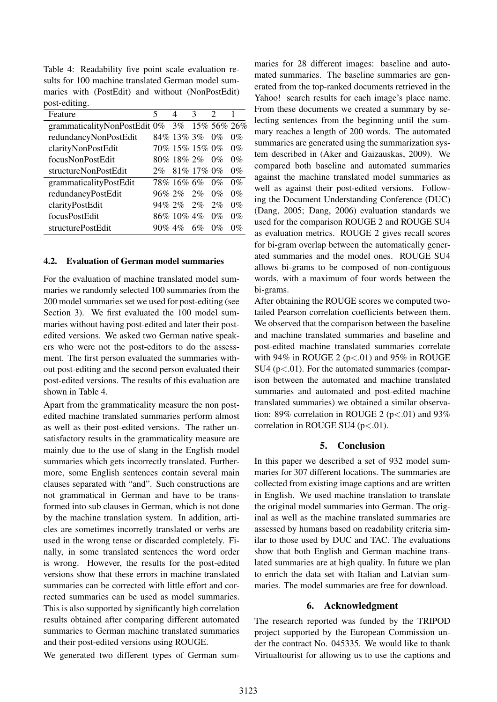Table 4: Readability five point scale evaluation results for 100 machine translated German model summaries with (PostEdit) and without (NonPostEdit) post-editing.

| Feature                                     | 5         | 4                 | 3  | $\mathfrak{D}$ |       |
|---------------------------------------------|-----------|-------------------|----|----------------|-------|
| grammaticalityNonPostEdit 0% 3% 15% 56% 26% |           |                   |    |                |       |
| redundancyNonPostEdit                       |           | 84% 13% 3% 0%     |    |                | $0\%$ |
| clarityNonPostEdit                          |           | 70% 15% 15% 0%    |    |                | $0\%$ |
| focusNonPostEdit                            |           | 80% 18% 2%        |    | $0\%$          | $0\%$ |
| structureNonPostEdit                        |           | 2\% 81\% 17\% 0\% |    |                | $0\%$ |
| grammaticalityPostEdit                      |           | 78% 16% 6%        |    | $0\%$          | $0\%$ |
| redundancyPostEdit                          |           | 96\% 2\% 2\%      |    | $0\%$          | $0\%$ |
| clarityPostEdit                             |           | 94\% 2\% 2\%      |    | 2%             | $0\%$ |
| focusPostEdit                               |           | 86% 10% 4%        |    | $0\%$          | $0\%$ |
| structurePostEdit                           | $90\%$ 4% |                   | 6% | $0\%$          | $0\%$ |

#### 4.2. Evaluation of German model summaries

For the evaluation of machine translated model summaries we randomly selected 100 summaries from the 200 model summaries set we used for post-editing (see Section 3). We first evaluated the 100 model summaries without having post-edited and later their postedited versions. We asked two German native speakers who were not the post-editors to do the assessment. The first person evaluated the summaries without post-editing and the second person evaluated their post-edited versions. The results of this evaluation are shown in Table 4.

Apart from the grammaticality measure the non postedited machine translated summaries perform almost as well as their post-edited versions. The rather unsatisfactory results in the grammaticality measure are mainly due to the use of slang in the English model summaries which gets incorrectly translated. Furthermore, some English sentences contain several main clauses separated with "and". Such constructions are not grammatical in German and have to be transformed into sub clauses in German, which is not done by the machine translation system. In addition, articles are sometimes incorretly translated or verbs are used in the wrong tense or discarded completely. Finally, in some translated sentences the word order is wrong. However, the results for the post-edited versions show that these errors in machine translated summaries can be corrected with little effort and corrected summaries can be used as model summaries. This is also supported by significantly high correlation results obtained after comparing different automated summaries to German machine translated summaries and their post-edited versions using ROUGE.

We generated two different types of German sum-

maries for 28 different images: baseline and automated summaries. The baseline summaries are generated from the top-ranked documents retrieved in the Yahoo! search results for each image's place name. From these documents we created a summary by selecting sentences from the beginning until the summary reaches a length of 200 words. The automated summaries are generated using the summarization system described in (Aker and Gaizauskas, 2009). We compared both baseline and automated summaries against the machine translated model summaries as well as against their post-edited versions. Following the Document Understanding Conference (DUC) (Dang, 2005; Dang, 2006) evaluation standards we used for the comparison ROUGE 2 and ROUGE SU4 as evaluation metrics. ROUGE 2 gives recall scores for bi-gram overlap between the automatically generated summaries and the model ones. ROUGE SU4 allows bi-grams to be composed of non-contiguous words, with a maximum of four words between the bi-grams.

After obtaining the ROUGE scores we computed twotailed Pearson correlation coefficients between them. We observed that the comparison between the baseline and machine translated summaries and baseline and post-edited machine translated summaries correlate with  $94\%$  in ROUGE 2 ( $p < .01$ ) and  $95\%$  in ROUGE SU4 ( $p < .01$ ). For the automated summaries (comparison between the automated and machine translated summaries and automated and post-edited machine translated summaries) we obtained a similar observation: 89% correlation in ROUGE 2 ( $p < .01$ ) and 93% correlation in ROUGE SU4  $(p<.01)$ .

### 5. Conclusion

In this paper we described a set of 932 model summaries for 307 different locations. The summaries are collected from existing image captions and are written in English. We used machine translation to translate the original model summaries into German. The original as well as the machine translated summaries are assessed by humans based on readability criteria similar to those used by DUC and TAC. The evaluations show that both English and German machine translated summaries are at high quality. In future we plan to enrich the data set with Italian and Latvian summaries. The model summaries are free for download.

#### 6. Acknowledgment

The research reported was funded by the TRIPOD project supported by the European Commission under the contract No. 045335. We would like to thank Virtualtourist for allowing us to use the captions and